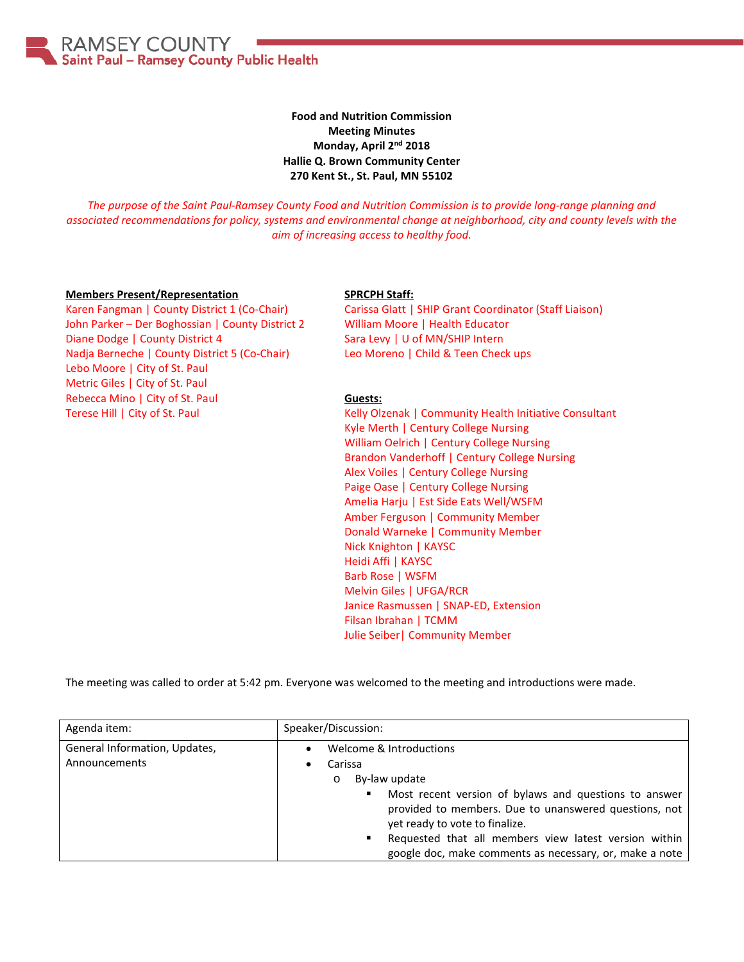**RAMSEY COUNTY** Saint Paul - Ramsey County Public Health

> **Food and Nutrition Commission Meeting Minutes Monday, April 2nd 2018 Hallie Q. Brown Community Center 270 Kent St., St. Paul, MN 55102**

*The purpose of the Saint Paul-Ramsey County Food and Nutrition Commission is to provide long-range planning and associated recommendations for policy, systems and environmental change at neighborhood, city and county levels with the aim of increasing access to healthy food.*

## **Members Present/Representation**

## **SPRCPH Staff:**

Karen Fangman | County District 1 (Co-Chair) John Parker – Der Boghossian | County District 2 Diane Dodge | County District 4 Nadja Berneche | County District 5 (Co-Chair) Lebo Moore | City of St. Paul Metric Giles | City of St. Paul Rebecca Mino | City of St. Paul Terese Hill | City of St. Paul

Carissa Glatt | SHIP Grant Coordinator (Staff Liaison) William Moore | Health Educator Sara Levy | U of MN/SHIP Intern Leo Moreno | Child & Teen Check ups

## **Guests:**

Kelly Olzenak | Community Health Initiative Consultant Kyle Merth | Century College Nursing William Oelrich | Century College Nursing Brandon Vanderhoff | Century College Nursing Alex Voiles | Century College Nursing Paige Oase | Century College Nursing Amelia Harju | Est Side Eats Well/WSFM Amber Ferguson | Community Member Donald Warneke | Community Member Nick Knighton | KAYSC Heidi Affi | KAYSC Barb Rose | WSFM Melvin Giles | UFGA/RCR Janice Rasmussen | SNAP-ED, Extension Filsan Ibrahan | TCMM Julie Seiber| Community Member

The meeting was called to order at 5:42 pm. Everyone was welcomed to the meeting and introductions were made.

| Agenda item:                                   | Speaker/Discussion:                                                                                                                                                                                                                                                                                                                    |
|------------------------------------------------|----------------------------------------------------------------------------------------------------------------------------------------------------------------------------------------------------------------------------------------------------------------------------------------------------------------------------------------|
| General Information, Updates,<br>Announcements | Welcome & Introductions<br>Carissa<br>By-law update<br>$\circ$<br>Most recent version of bylaws and questions to answer<br>provided to members. Due to unanswered questions, not<br>yet ready to vote to finalize.<br>Requested that all members view latest version within<br>google doc, make comments as necessary, or, make a note |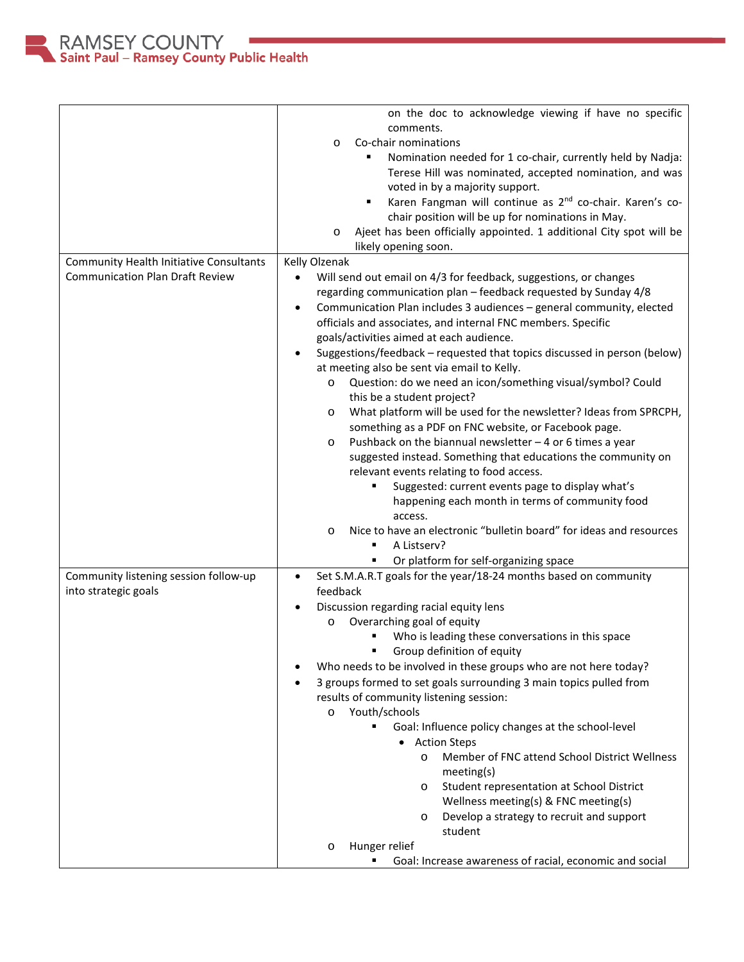

|                                         | on the doc to acknowledge viewing if have no specific                                                                  |
|-----------------------------------------|------------------------------------------------------------------------------------------------------------------------|
|                                         | comments.                                                                                                              |
|                                         | Co-chair nominations<br>$\circ$                                                                                        |
|                                         | Nomination needed for 1 co-chair, currently held by Nadja:<br>٠                                                        |
|                                         | Terese Hill was nominated, accepted nomination, and was                                                                |
|                                         | voted in by a majority support.                                                                                        |
|                                         | Karen Fangman will continue as 2 <sup>nd</sup> co-chair. Karen's co-<br>٠                                              |
|                                         | chair position will be up for nominations in May.                                                                      |
|                                         | Ajeet has been officially appointed. 1 additional City spot will be<br>$\circ$                                         |
|                                         | likely opening soon.                                                                                                   |
| Community Health Initiative Consultants | Kelly Olzenak                                                                                                          |
| <b>Communication Plan Draft Review</b>  | Will send out email on 4/3 for feedback, suggestions, or changes<br>$\bullet$                                          |
|                                         | regarding communication plan - feedback requested by Sunday 4/8                                                        |
|                                         | Communication Plan includes 3 audiences - general community, elected<br>$\bullet$                                      |
|                                         | officials and associates, and internal FNC members. Specific<br>goals/activities aimed at each audience.               |
|                                         | Suggestions/feedback - requested that topics discussed in person (below)<br>$\bullet$                                  |
|                                         | at meeting also be sent via email to Kelly.                                                                            |
|                                         | Question: do we need an icon/something visual/symbol? Could<br>$\circ$                                                 |
|                                         | this be a student project?                                                                                             |
|                                         | What platform will be used for the newsletter? Ideas from SPRCPH,<br>$\circ$                                           |
|                                         | something as a PDF on FNC website, or Facebook page.                                                                   |
|                                         | Pushback on the biannual newsletter $-4$ or 6 times a year<br>$\circ$                                                  |
|                                         | suggested instead. Something that educations the community on                                                          |
|                                         | relevant events relating to food access.                                                                               |
|                                         | Suggested: current events page to display what's                                                                       |
|                                         | happening each month in terms of community food                                                                        |
|                                         | access.                                                                                                                |
|                                         | Nice to have an electronic "bulletin board" for ideas and resources<br>$\circ$                                         |
|                                         | A Listserv?                                                                                                            |
| Community listening session follow-up   | Or platform for self-organizing space<br>Set S.M.A.R.T goals for the year/18-24 months based on community<br>$\bullet$ |
| into strategic goals                    | feedback                                                                                                               |
|                                         | Discussion regarding racial equity lens<br>$\bullet$                                                                   |
|                                         | Overarching goal of equity<br>$\circ$                                                                                  |
|                                         | Who is leading these conversations in this space                                                                       |
|                                         | Group definition of equity                                                                                             |
|                                         | Who needs to be involved in these groups who are not here today?                                                       |
|                                         | 3 groups formed to set goals surrounding 3 main topics pulled from                                                     |
|                                         | results of community listening session:                                                                                |
|                                         | Youth/schools<br>$\circ$                                                                                               |
|                                         | ٠<br>Goal: Influence policy changes at the school-level                                                                |
|                                         | • Action Steps                                                                                                         |
|                                         | Member of FNC attend School District Wellness<br>$\circ$<br>meeting(s)                                                 |
|                                         | Student representation at School District<br>$\circ$                                                                   |
|                                         | Wellness meeting(s) & FNC meeting(s)                                                                                   |
|                                         | Develop a strategy to recruit and support<br>$\circ$                                                                   |
|                                         | student                                                                                                                |
|                                         | Hunger relief<br>$\circ$                                                                                               |
|                                         | Goal: Increase awareness of racial, economic and social                                                                |